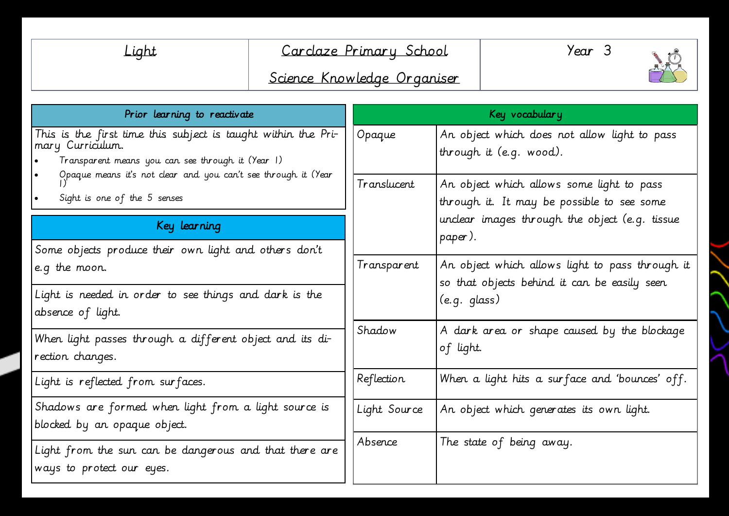| ΠI<br>ſ<br>. . |  |
|----------------|--|
|----------------|--|

## Carclaze Primary School



# Science Knowledge Organiser

| Prior learning to reactivate                                                                                                           | Key vocabulary        |                                                                                                                 |  |
|----------------------------------------------------------------------------------------------------------------------------------------|-----------------------|-----------------------------------------------------------------------------------------------------------------|--|
| This is the first time this subject is taught within the Pri-<br>mary Curriculum.<br>Transparent means you can see through it (Year 1) | Opaque                | An object which does not allow light to pass<br>through it $(e.q.$ wood).                                       |  |
| Opaque means it's not clear and you can't see through it (Year<br>Sight is one of the 5 senses                                         | Translucent           | An object which allows some light to pass<br>through it. It may be possible to see some                         |  |
| Key learning<br>Some objects produce their own light and others don't                                                                  |                       | unclear images through the object (e.g. tissue<br>paper).                                                       |  |
| e.g the moon.<br>Light is needed in order to see things and dark is the                                                                | Transparent<br>Shadow | An object which allows light to pass through it<br>so that objects behind it can be easily seen<br>(e.g. glass) |  |
| absence of light.                                                                                                                      |                       | A dark area or shape caused by the blockage                                                                     |  |
| When light passes through a different object and its di-<br>rection changes.                                                           |                       | of light.                                                                                                       |  |
| Light is reflected from surfaces.                                                                                                      | Reflection            | When a light hits a surface and 'bounces' off.                                                                  |  |
| Shadows are formed when light from a light source is<br>blocked by an opaque object.                                                   | Light Source          | An object which generates its own light.                                                                        |  |
| Light from the sun can be dangerous and that there are<br>ways to protect our eyes.                                                    | Absence               | The state of being away.                                                                                        |  |